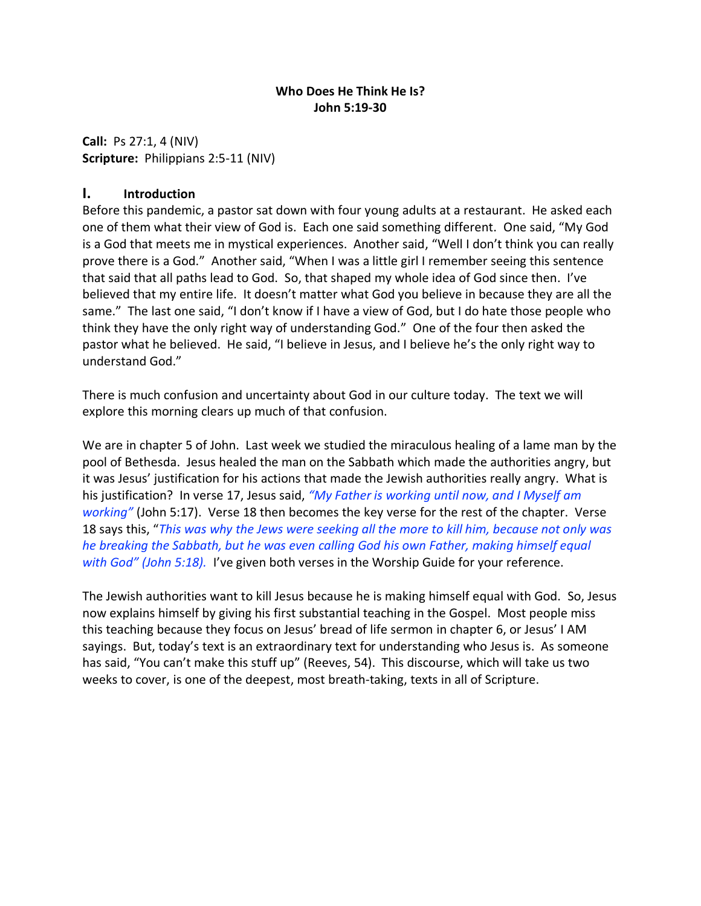#### **Who Does He Think He Is? John 5:19-30**

**Call:** Ps 27:1, 4 (NIV) **Scripture:** Philippians 2:5-11 (NIV)

#### **I. Introduction**

Before this pandemic, a pastor sat down with four young adults at a restaurant. He asked each one of them what their view of God is. Each one said something different. One said, "My God is a God that meets me in mystical experiences. Another said, "Well I don't think you can really prove there is a God." Another said, "When I was a little girl I remember seeing this sentence that said that all paths lead to God. So, that shaped my whole idea of God since then. I've believed that my entire life. It doesn't matter what God you believe in because they are all the same." The last one said, "I don't know if I have a view of God, but I do hate those people who think they have the only right way of understanding God." One of the four then asked the pastor what he believed. He said, "I believe in Jesus, and I believe he's the only right way to understand God."

There is much confusion and uncertainty about God in our culture today. The text we will explore this morning clears up much of that confusion.

We are in chapter 5 of John. Last week we studied the miraculous healing of a lame man by the pool of Bethesda. Jesus healed the man on the Sabbath which made the authorities angry, but it was Jesus' justification for his actions that made the Jewish authorities really angry. What is his justification? In verse 17, Jesus said, *"My Father is working until now, and I Myself am working"* (John 5:17). Verse 18 then becomes the key verse for the rest of the chapter. Verse 18 says this, "*This was why the Jews were seeking all the more to kill him, because not only was he breaking the Sabbath, but he was even calling God his own Father, making himself equal with God" (John 5:18).* I've given both verses in the Worship Guide for your reference.

The Jewish authorities want to kill Jesus because he is making himself equal with God. So, Jesus now explains himself by giving his first substantial teaching in the Gospel. Most people miss this teaching because they focus on Jesus' bread of life sermon in chapter 6, or Jesus' I AM sayings. But, today's text is an extraordinary text for understanding who Jesus is. As someone has said, "You can't make this stuff up" (Reeves, 54). This discourse, which will take us two weeks to cover, is one of the deepest, most breath-taking, texts in all of Scripture.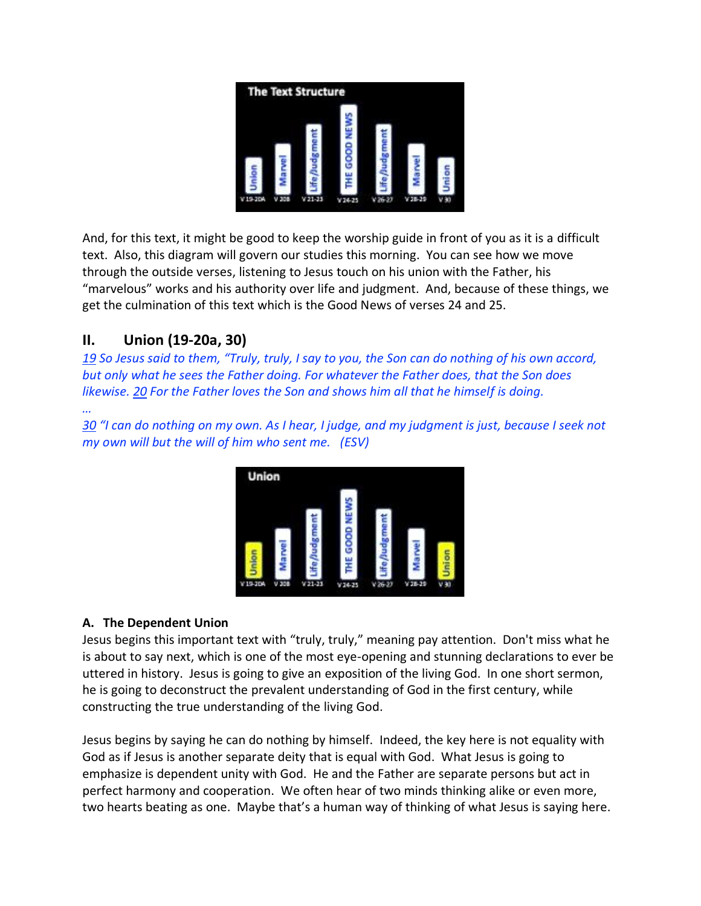

And, for this text, it might be good to keep the worship guide in front of you as it is a difficult text. Also, this diagram will govern our studies this morning. You can see how we move through the outside verses, listening to Jesus touch on his union with the Father, his "marvelous" works and his authority over life and judgment. And, because of these things, we get the culmination of this text which is the Good News of verses 24 and 25.

# **II. Union (19-20a, 30)**

*19 So Jesus said to them, "Truly, truly, I say to you, the Son can do nothing of his own accord, but only what he sees the Father doing. For whatever the Father does, that the Son does likewise. 20 For the Father loves the Son and shows him all that he himself is doing.*

*… 30 "I can do nothing on my own. As I hear, I judge, and my judgment is just, because I seek not my own will but the will of him who sent me. (ESV)*



### **A. The Dependent Union**

Jesus begins this important text with "truly, truly," meaning pay attention. Don't miss what he is about to say next, which is one of the most eye-opening and stunning declarations to ever be uttered in history. Jesus is going to give an exposition of the living God. In one short sermon, he is going to deconstruct the prevalent understanding of God in the first century, while constructing the true understanding of the living God.

Jesus begins by saying he can do nothing by himself. Indeed, the key here is not equality with God as if Jesus is another separate deity that is equal with God. What Jesus is going to emphasize is dependent unity with God. He and the Father are separate persons but act in perfect harmony and cooperation. We often hear of two minds thinking alike or even more, two hearts beating as one. Maybe that's a human way of thinking of what Jesus is saying here.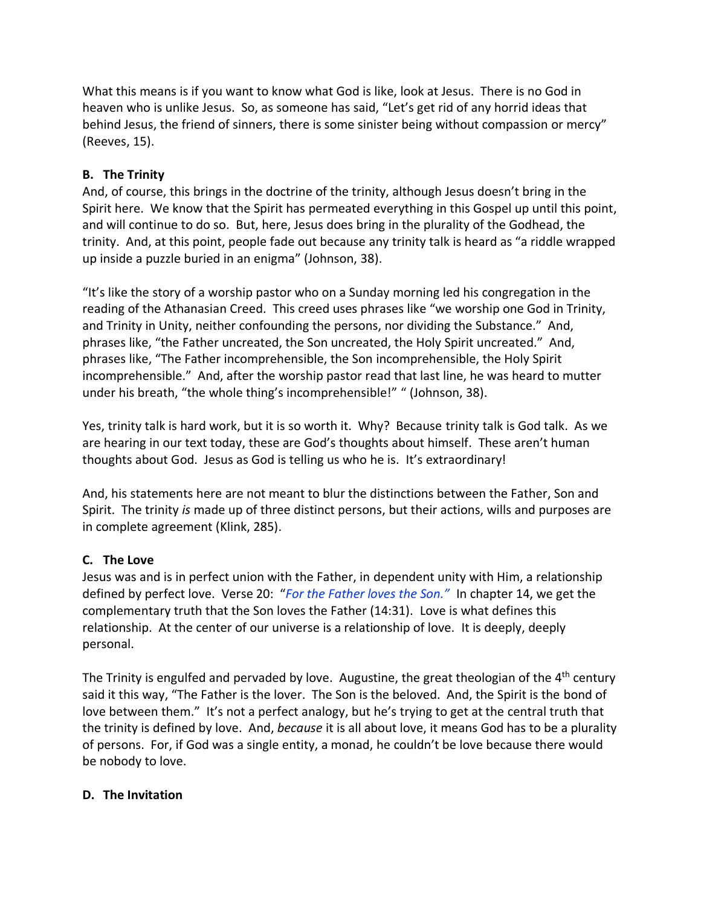What this means is if you want to know what God is like, look at Jesus. There is no God in heaven who is unlike Jesus. So, as someone has said, "Let's get rid of any horrid ideas that behind Jesus, the friend of sinners, there is some sinister being without compassion or mercy" (Reeves, 15).

#### **B. The Trinity**

And, of course, this brings in the doctrine of the trinity, although Jesus doesn't bring in the Spirit here. We know that the Spirit has permeated everything in this Gospel up until this point, and will continue to do so. But, here, Jesus does bring in the plurality of the Godhead, the trinity. And, at this point, people fade out because any trinity talk is heard as "a riddle wrapped up inside a puzzle buried in an enigma" (Johnson, 38).

"It's like the story of a worship pastor who on a Sunday morning led his congregation in the reading of the Athanasian Creed. This creed uses phrases like "we worship one God in Trinity, and Trinity in Unity, neither confounding the persons, nor dividing the Substance." And, phrases like, "the Father uncreated, the Son uncreated, the Holy Spirit uncreated." And, phrases like, "The Father incomprehensible, the Son incomprehensible, the Holy Spirit incomprehensible." And, after the worship pastor read that last line, he was heard to mutter under his breath, "the whole thing's incomprehensible!" " (Johnson, 38).

Yes, trinity talk is hard work, but it is so worth it. Why? Because trinity talk is God talk. As we are hearing in our text today, these are God's thoughts about himself. These aren't human thoughts about God. Jesus as God is telling us who he is. It's extraordinary!

And, his statements here are not meant to blur the distinctions between the Father, Son and Spirit. The trinity *is* made up of three distinct persons, but their actions, wills and purposes are in complete agreement (Klink, 285).

### **C. The Love**

Jesus was and is in perfect union with the Father, in dependent unity with Him, a relationship defined by perfect love. Verse 20: "*For the Father loves the Son."* In chapter 14, we get the complementary truth that the Son loves the Father (14:31). Love is what defines this relationship. At the center of our universe is a relationship of love. It is deeply, deeply personal.

The Trinity is engulfed and pervaded by love. Augustine, the great theologian of the 4<sup>th</sup> century said it this way, "The Father is the lover. The Son is the beloved. And, the Spirit is the bond of love between them." It's not a perfect analogy, but he's trying to get at the central truth that the trinity is defined by love. And, *because* it is all about love, it means God has to be a plurality of persons. For, if God was a single entity, a monad, he couldn't be love because there would be nobody to love.

#### **D. The Invitation**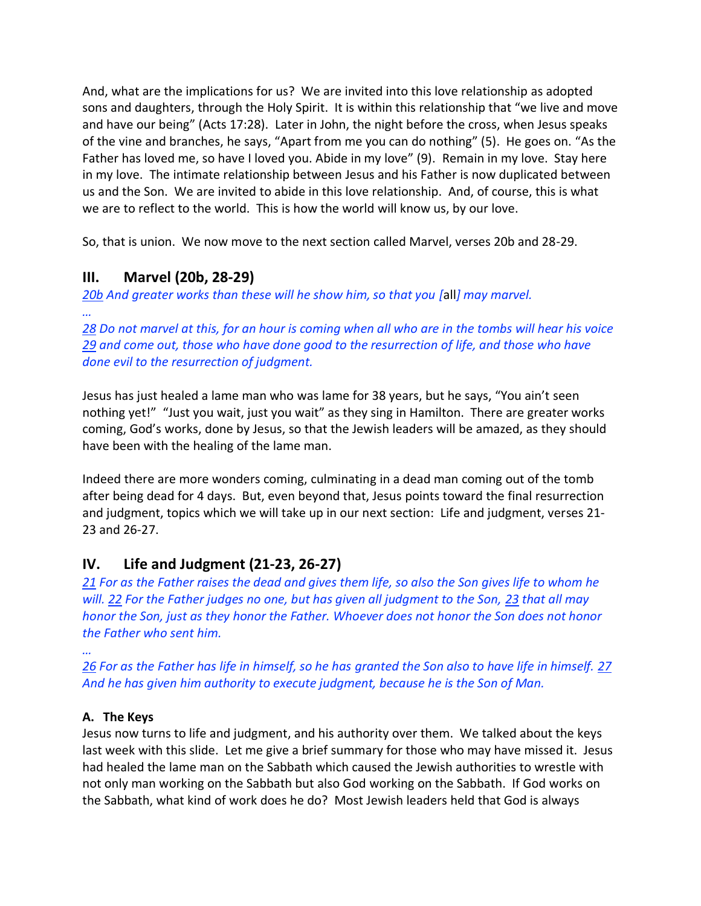And, what are the implications for us? We are invited into this love relationship as adopted sons and daughters, through the Holy Spirit. It is within this relationship that "we live and move and have our being" (Acts 17:28). Later in John, the night before the cross, when Jesus speaks of the vine and branches, he says, "Apart from me you can do nothing" (5). He goes on. "As the Father has loved me, so have I loved you. Abide in my love" (9). Remain in my love. Stay here in my love. The intimate relationship between Jesus and his Father is now duplicated between us and the Son. We are invited to abide in this love relationship. And, of course, this is what we are to reflect to the world. This is how the world will know us, by our love.

So, that is union. We now move to the next section called Marvel, verses 20b and 28-29.

## **III. Marvel (20b, 28-29)**

*20b And greater works than these will he show him, so that you [*all*] may marvel. …*

*28 Do not marvel at this, for an hour is coming when all who are in the tombs will hear his voice 29 and come out, those who have done good to the resurrection of life, and those who have done evil to the resurrection of judgment.*

Jesus has just healed a lame man who was lame for 38 years, but he says, "You ain't seen nothing yet!" "Just you wait, just you wait" as they sing in Hamilton. There are greater works coming, God's works, done by Jesus, so that the Jewish leaders will be amazed, as they should have been with the healing of the lame man.

Indeed there are more wonders coming, culminating in a dead man coming out of the tomb after being dead for 4 days. But, even beyond that, Jesus points toward the final resurrection and judgment, topics which we will take up in our next section: Life and judgment, verses 21- 23 and 26-27.

### **IV. Life and Judgment (21-23, 26-27)**

*21 For as the Father raises the dead and gives them life, so also the Son gives life to whom he will. 22 For the Father judges no one, but has given all judgment to the Son, 23 that all may honor the Son, just as they honor the Father. Whoever does not honor the Son does not honor the Father who sent him.*

*…*

*26 For as the Father has life in himself, so he has granted the Son also to have life in himself. 27 And he has given him authority to execute judgment, because he is the Son of Man.*

#### **A. The Keys**

Jesus now turns to life and judgment, and his authority over them. We talked about the keys last week with this slide. Let me give a brief summary for those who may have missed it. Jesus had healed the lame man on the Sabbath which caused the Jewish authorities to wrestle with not only man working on the Sabbath but also God working on the Sabbath. If God works on the Sabbath, what kind of work does he do? Most Jewish leaders held that God is always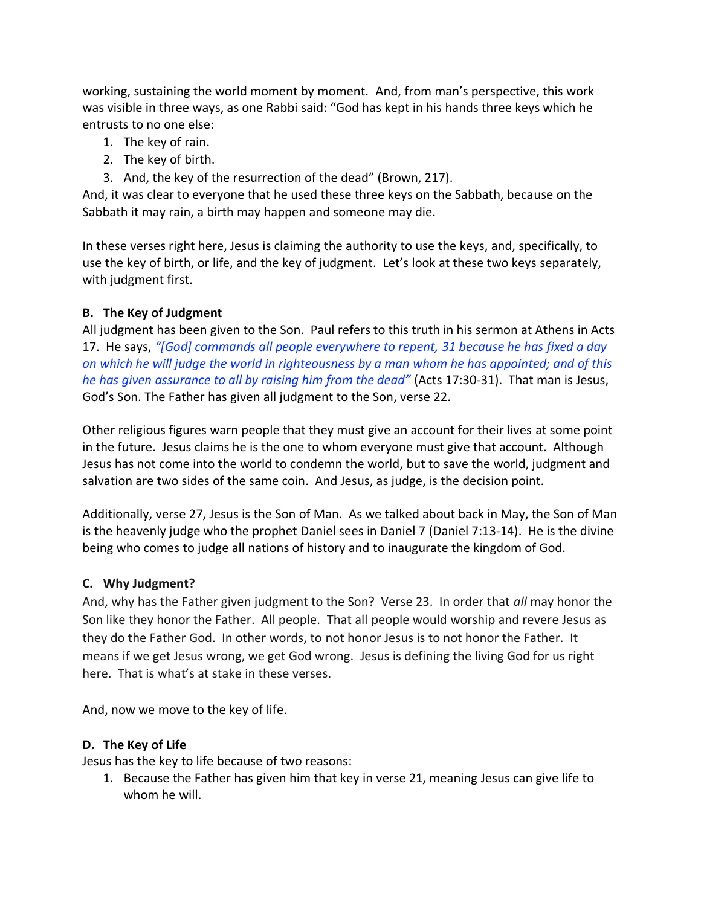working, sustaining the world moment by moment. And, from man's perspective, this work was visible in three ways, as one Rabbi said: "God has kept in his hands three keys which he entrusts to no one else:

- 1. The key of rain.
- 2. The key of birth.
- 3. And, the key of the resurrection of the dead" (Brown, 217).

And, it was clear to everyone that he used these three keys on the Sabbath, because on the Sabbath it may rain, a birth may happen and someone may die.

In these verses right here, Jesus is claiming the authority to use the keys, and, specifically, to use the key of birth, or life, and the key of judgment. Let's look at these two keys separately, with judgment first.

#### **B. The Key of Judgment**

All judgment has been given to the Son. Paul refers to this truth in his sermon at Athens in Acts 17. He says, *"[God] commands all people everywhere to repent, 31 because he has fixed a day on which he will judge the world in righteousness by a man whom he has appointed; and of this he has given assurance to all by raising him from the dead"* (Acts 17:30-31). That man is Jesus, God's Son. The Father has given all judgment to the Son, verse 22.

Other religious figures warn people that they must give an account for their lives at some point in the future. Jesus claims he is the one to whom everyone must give that account. Although Jesus has not come into the world to condemn the world, but to save the world, judgment and salvation are two sides of the same coin. And Jesus, as judge, is the decision point.

Additionally, verse 27, Jesus is the Son of Man. As we talked about back in May, the Son of Man is the heavenly judge who the prophet Daniel sees in Daniel 7 (Daniel 7:13-14). He is the divine being who comes to judge all nations of history and to inaugurate the kingdom of God.

#### **C. Why Judgment?**

And, why has the Father given judgment to the Son? Verse 23. In order that *all* may honor the Son like they honor the Father. All people. That all people would worship and revere Jesus as they do the Father God. In other words, to not honor Jesus is to not honor the Father. It means if we get Jesus wrong, we get God wrong. Jesus is defining the living God for us right here. That is what's at stake in these verses.

And, now we move to the key of life.

#### **D. The Key of Life**

Jesus has the key to life because of two reasons:

1. Because the Father has given him that key in verse 21, meaning Jesus can give life to whom he will.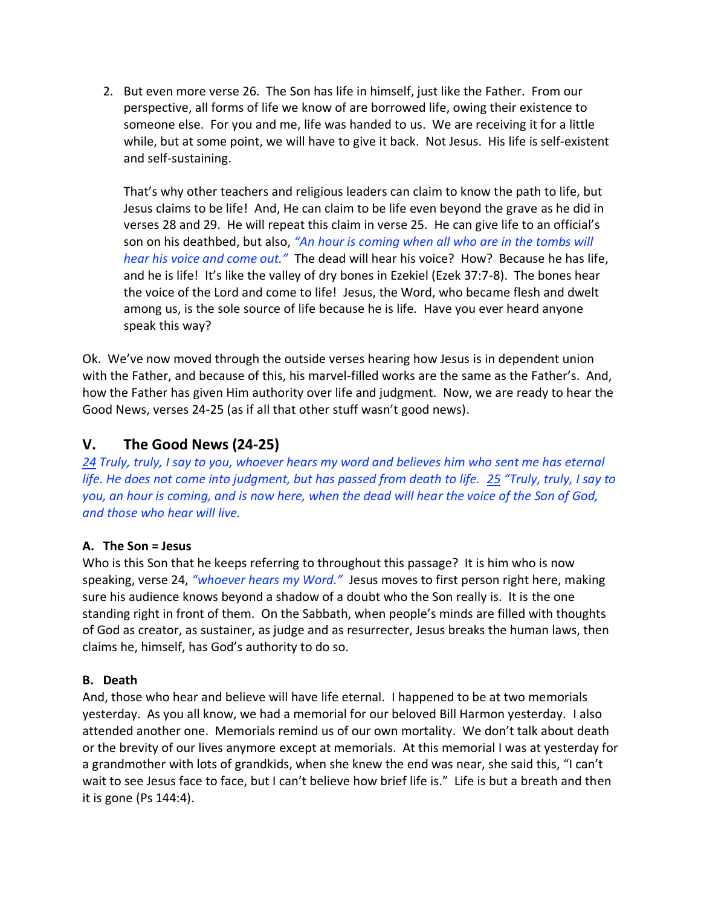2. But even more verse 26. The Son has life in himself, just like the Father. From our perspective, all forms of life we know of are borrowed life, owing their existence to someone else. For you and me, life was handed to us. We are receiving it for a little while, but at some point, we will have to give it back. Not Jesus. His life is self-existent and self-sustaining.

That's why other teachers and religious leaders can claim to know the path to life, but Jesus claims to be life! And, He can claim to be life even beyond the grave as he did in verses 28 and 29. He will repeat this claim in verse 25. He can give life to an official's son on his deathbed, but also, *"An hour is coming when all who are in the tombs will hear his voice and come out."* The dead will hear his voice? How?Because he has life, and he is life! It's like the valley of dry bones in Ezekiel (Ezek 37:7-8). The bones hear the voice of the Lord and come to life! Jesus, the Word, who became flesh and dwelt among us, is the sole source of life because he is life. Have you ever heard anyone speak this way?

Ok. We've now moved through the outside verses hearing how Jesus is in dependent union with the Father, and because of this, his marvel-filled works are the same as the Father's. And, how the Father has given Him authority over life and judgment. Now, we are ready to hear the Good News, verses 24-25 (as if all that other stuff wasn't good news).

## **V. The Good News (24-25)**

*24 Truly, truly, I say to you, whoever hears my word and believes him who sent me has eternal life. He does not come into judgment, but has passed from death to life. 25 "Truly, truly, I say to you, an hour is coming, and is now here, when the dead will hear the voice of the Son of God, and those who hear will live.*

#### **A. The Son = Jesus**

Who is this Son that he keeps referring to throughout this passage? It is him who is now speaking, verse 24, *"whoever hears my Word."* Jesus moves to first person right here, making sure his audience knows beyond a shadow of a doubt who the Son really is. It is the one standing right in front of them. On the Sabbath, when people's minds are filled with thoughts of God as creator, as sustainer, as judge and as resurrecter, Jesus breaks the human laws, then claims he, himself, has God's authority to do so.

#### **B. Death**

And, those who hear and believe will have life eternal. I happened to be at two memorials yesterday. As you all know, we had a memorial for our beloved Bill Harmon yesterday. I also attended another one. Memorials remind us of our own mortality. We don't talk about death or the brevity of our lives anymore except at memorials. At this memorial I was at yesterday for a grandmother with lots of grandkids, when she knew the end was near, she said this, "I can't wait to see Jesus face to face, but I can't believe how brief life is." Life is but a breath and then it is gone (Ps 144:4).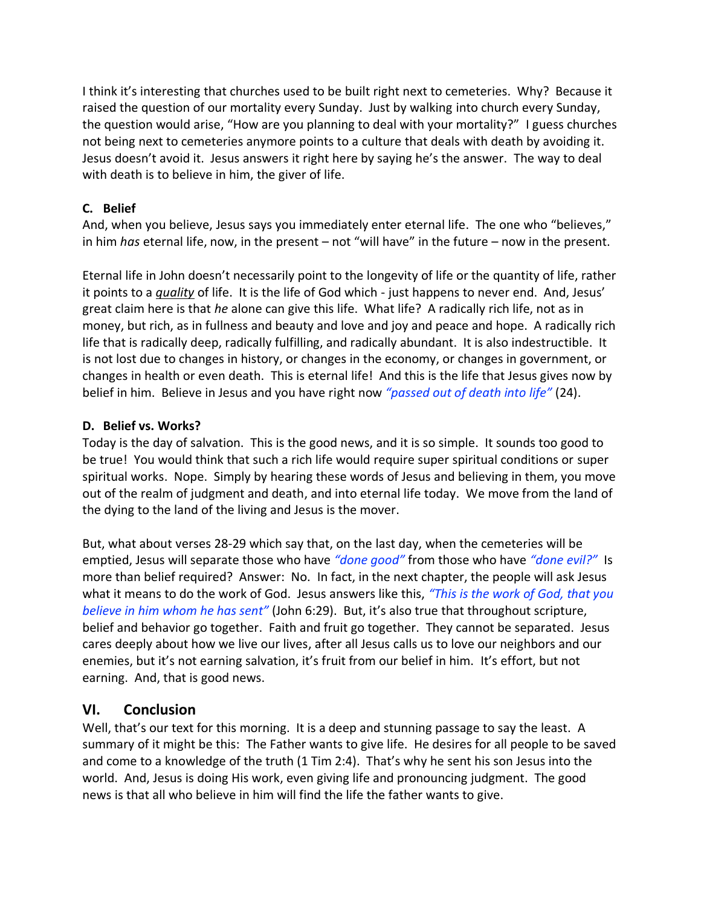I think it's interesting that churches used to be built right next to cemeteries. Why? Because it raised the question of our mortality every Sunday. Just by walking into church every Sunday, the question would arise, "How are you planning to deal with your mortality?" I guess churches not being next to cemeteries anymore points to a culture that deals with death by avoiding it. Jesus doesn't avoid it. Jesus answers it right here by saying he's the answer. The way to deal with death is to believe in him, the giver of life.

### **C. Belief**

And, when you believe, Jesus says you immediately enter eternal life. The one who "believes," in him *has* eternal life, now, in the present – not "will have" in the future – now in the present.

Eternal life in John doesn't necessarily point to the longevity of life or the quantity of life, rather it points to a *quality* of life. It is the life of God which - just happens to never end. And, Jesus' great claim here is that *he* alone can give this life. What life? A radically rich life, not as in money, but rich, as in fullness and beauty and love and joy and peace and hope. A radically rich life that is radically deep, radically fulfilling, and radically abundant. It is also indestructible. It is not lost due to changes in history, or changes in the economy, or changes in government, or changes in health or even death. This is eternal life! And this is the life that Jesus gives now by belief in him. Believe in Jesus and you have right now *"passed out of death into life"* (24).

### **D. Belief vs. Works?**

Today is the day of salvation. This is the good news, and it is so simple. It sounds too good to be true! You would think that such a rich life would require super spiritual conditions or super spiritual works. Nope. Simply by hearing these words of Jesus and believing in them, you move out of the realm of judgment and death, and into eternal life today. We move from the land of the dying to the land of the living and Jesus is the mover.

But, what about verses 28-29 which say that, on the last day, when the cemeteries will be emptied, Jesus will separate those who have *"done good"* from those who have *"done evil?"* Is more than belief required? Answer: No. In fact, in the next chapter, the people will ask Jesus what it means to do the work of God. Jesus answers like this, *"This is the work of God, that you believe in him whom he has sent"* (John 6:29). But, it's also true that throughout scripture, belief and behavior go together. Faith and fruit go together. They cannot be separated. Jesus cares deeply about how we live our lives, after all Jesus calls us to love our neighbors and our enemies, but it's not earning salvation, it's fruit from our belief in him. It's effort, but not earning. And, that is good news.

# **VI. Conclusion**

Well, that's our text for this morning. It is a deep and stunning passage to say the least. A summary of it might be this: The Father wants to give life. He desires for all people to be saved and come to a knowledge of the truth (1 Tim 2:4). That's why he sent his son Jesus into the world. And, Jesus is doing His work, even giving life and pronouncing judgment. The good news is that all who believe in him will find the life the father wants to give.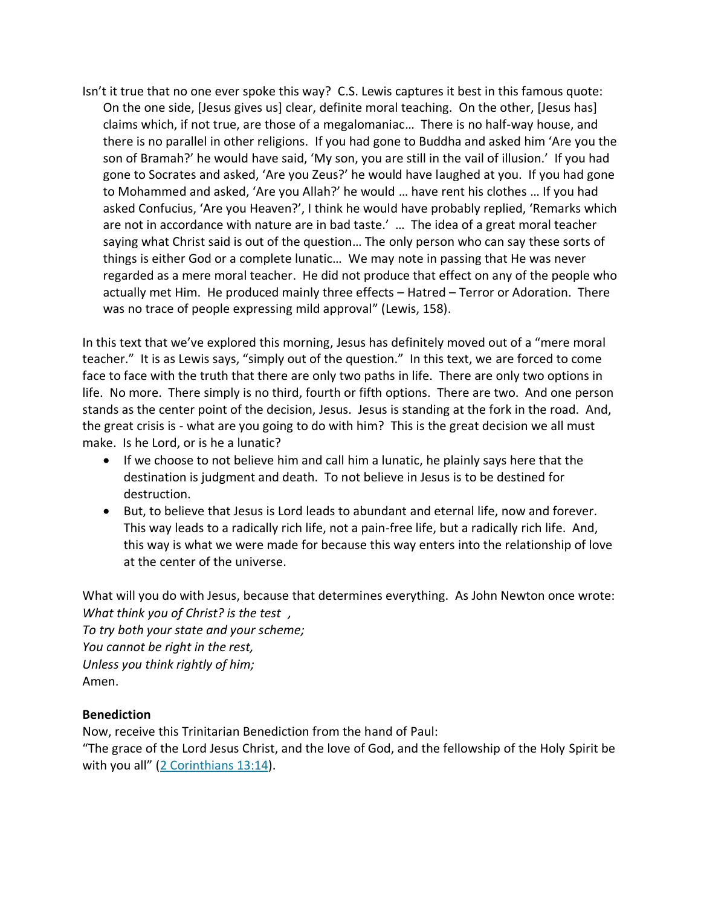Isn't it true that no one ever spoke this way? C.S. Lewis captures it best in this famous quote: On the one side, [Jesus gives us] clear, definite moral teaching. On the other, [Jesus has] claims which, if not true, are those of a megalomaniac… There is no half-way house, and there is no parallel in other religions. If you had gone to Buddha and asked him 'Are you the son of Bramah?' he would have said, 'My son, you are still in the vail of illusion.' If you had gone to Socrates and asked, 'Are you Zeus?' he would have laughed at you. If you had gone to Mohammed and asked, 'Are you Allah?' he would … have rent his clothes … If you had asked Confucius, 'Are you Heaven?', I think he would have probably replied, 'Remarks which are not in accordance with nature are in bad taste.' … The idea of a great moral teacher saying what Christ said is out of the question… The only person who can say these sorts of things is either God or a complete lunatic… We may note in passing that He was never regarded as a mere moral teacher. He did not produce that effect on any of the people who actually met Him. He produced mainly three effects – Hatred – Terror or Adoration. There was no trace of people expressing mild approval" (Lewis, 158).

In this text that we've explored this morning, Jesus has definitely moved out of a "mere moral teacher." It is as Lewis says, "simply out of the question." In this text, we are forced to come face to face with the truth that there are only two paths in life. There are only two options in life. No more. There simply is no third, fourth or fifth options. There are two. And one person stands as the center point of the decision, Jesus. Jesus is standing at the fork in the road. And, the great crisis is - what are you going to do with him? This is the great decision we all must make. Is he Lord, or is he a lunatic?

- If we choose to not believe him and call him a lunatic, he plainly says here that the destination is judgment and death. To not believe in Jesus is to be destined for destruction.
- But, to believe that Jesus is Lord leads to abundant and eternal life, now and forever. This way leads to a radically rich life, not a pain-free life, but a radically rich life. And, this way is what we were made for because this way enters into the relationship of love at the center of the universe.

What will you do with Jesus, because that determines everything. As John Newton once wrote: *What think you of Christ? is the test ,*

*To try both your state and your scheme; You cannot be right in the rest, Unless you think rightly of him;* Amen.

#### **Benediction**

Now, receive this Trinitarian Benediction from the hand of Paul:

"The grace of the Lord Jesus Christ, and the love of God, and the fellowship of the Holy Spirit be with you all" ([2 Corinthians 13:14\)](http://biblia.com/bible/esv/2%20Corinthians%2013.14).